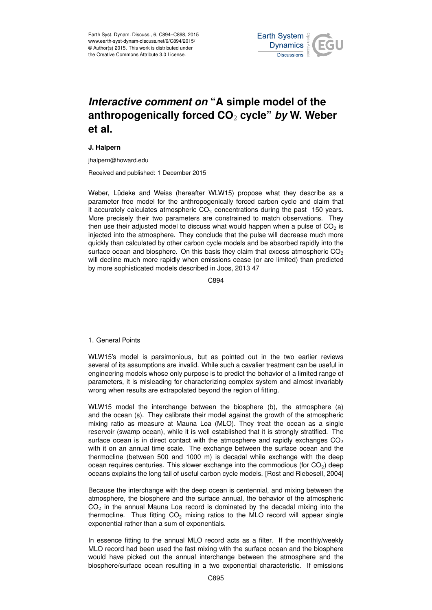

# *Interactive comment on* **"A simple model of the anthropogenically forced CO**<sup>2</sup> **cycle"** *by* **W. Weber et al.**

## **J. Halpern**

jhalpern@howard.edu

Received and published: 1 December 2015

Weber, Lüdeke and Weiss (hereafter WLW15) propose what they describe as a parameter free model for the anthropogenically forced carbon cycle and claim that it accurately calculates atmospheric  $CO<sub>2</sub>$  concentrations during the past 150 years. More precisely their two parameters are constrained to match observations. They then use their adjusted model to discuss what would happen when a pulse of  $CO<sub>2</sub>$  is injected into the atmosphere. They conclude that the pulse will decrease much more quickly than calculated by other carbon cycle models and be absorbed rapidly into the surface ocean and biosphere. On this basis they claim that excess atmospheric  $CO<sub>2</sub>$ will decline much more rapidly when emissions cease (or are limited) than predicted by more sophisticated models described in Joos, 2013 47

C894

#### 1. General Points

WLW15's model is parsimonious, but as pointed out in the two earlier reviews several of its assumptions are invalid. While such a cavalier treatment can be useful in engineering models whose only purpose is to predict the behavior of a limited range of parameters, it is misleading for characterizing complex system and almost invariably wrong when results are extrapolated beyond the region of fitting.

WLW15 model the interchange between the biosphere (b), the atmosphere (a) and the ocean (s). They calibrate their model against the growth of the atmospheric mixing ratio as measure at Mauna Loa (MLO). They treat the ocean as a single reservoir (swamp ocean), while it is well established that it is strongly stratified. The surface ocean is in direct contact with the atmosphere and rapidly exchanges  $CO<sub>2</sub>$ with it on an annual time scale. The exchange between the surface ocean and the thermocline (between 500 and 1000 m) is decadal while exchange with the deep ocean requires centuries. This slower exchange into the commodious (for  $CO<sub>2</sub>$ ) deep oceans explains the long tail of useful carbon cycle models. [Rost and Riebesell, 2004]

Because the interchange with the deep ocean is centennial, and mixing between the atmosphere, the biosphere and the surface annual, the behavior of the atmospheric  $CO<sub>2</sub>$  in the annual Mauna Loa record is dominated by the decadal mixing into the thermocline. Thus fitting  $CO<sub>2</sub>$  mixing ratios to the MLO record will appear single exponential rather than a sum of exponentials.

In essence fitting to the annual MLO record acts as a filter. If the monthly/weekly MLO record had been used the fast mixing with the surface ocean and the biosphere would have picked out the annual interchange between the atmosphere and the biosphere/surface ocean resulting in a two exponential characteristic. If emissions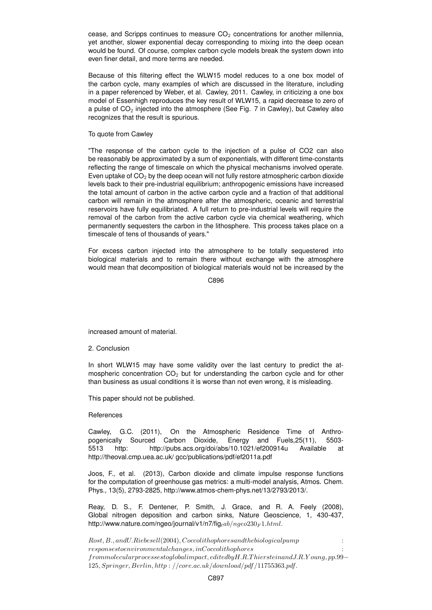cease, and Scripps continues to measure  $CO<sub>2</sub>$  concentrations for another millennia, yet another, slower exponential decay corresponding to mixing into the deep ocean would be found. Of course, complex carbon cycle models break the system down into even finer detail, and more terms are needed.

Because of this filtering effect the WLW15 model reduces to a one box model of the carbon cycle, many examples of which are discussed in the literature, including in a paper referenced by Weber, et al. Cawley, 2011. Cawley, in criticizing a one box model of Essenhigh reproduces the key result of WLW15, a rapid decrease to zero of a pulse of  $CO<sub>2</sub>$  injected into the atmosphere (See Fig. 7 in Cawley), but Cawley also recognizes that the result is spurious.

### To quote from Cawley

"The response of the carbon cycle to the injection of a pulse of CO2 can also be reasonably be approximated by a sum of exponentials, with different time-constants reflecting the range of timescale on which the physical mechanisms involved operate. Even uptake of  $CO<sub>2</sub>$  by the deep ocean will not fully restore atmospheric carbon dioxide levels back to their pre-industrial equilibrium; anthropogenic emissions have increased the total amount of carbon in the active carbon cycle and a fraction of that additional carbon will remain in the atmosphere after the atmospheric, oceanic and terrestrial reservoirs have fully equilibriated. A full return to pre-industrial levels will require the removal of the carbon from the active carbon cycle via chemical weathering, which permanently sequesters the carbon in the lithosphere. This process takes place on a timescale of tens of thousands of years."

For excess carbon injected into the atmosphere to be totally sequestered into biological materials and to remain there without exchange with the atmosphere would mean that decomposition of biological materials would not be increased by the

C896

increased amount of material.

## 2. Conclusion

In short WLW15 may have some validity over the last century to predict the atmospheric concentration  $CO<sub>2</sub>$  but for understanding the carbon cycle and for other than business as usual conditions it is worse than not even wrong, it is misleading.

This paper should not be published.

### **References**

Cawley, G.C. (2011), On the Atmospheric Residence Time of Anthropogenically Sourced Carbon Dioxide, Energy and Fuels,25(11), 5503- 5513 http: http://pubs.acs.org/doi/abs/10.1021/ef200914u Available at http://theoval.cmp.uea.ac.uk/ gcc/publications/pdf/ef2011a.pdf

Joos, F., et al. (2013), Carbon dioxide and climate impulse response functions for the computation of greenhouse gas metrics: a multi-model analysis, Atmos. Chem. Phys., 13(5), 2793-2825, http://www.atmos-chem-phys.net/13/2793/2013/.

Reay, D. S., F. Dentener, P. Smith, J. Grace, and R. A. Feely (2008), Global nitrogen deposition and carbon sinks, Nature Geoscience, 1, 430-437, http://www.nature.com/ngeo/journal/v1/n7/fig<sub>tab</sub>/ $nqeo230_F 1.html$ .

Rost, B., and U.Riebesell (2004), Coccolithophoresand the biological pump :  $response stoenvironmental changes, inCoccolithophores$ frommolecularprocessestoglobalimpact, editedbyH.R.T hiersteinandJ.R.Y oung, pp.99− 125, Springer, Berlin, http : //core.ac.uk/download/pdf /11755363.pdf.